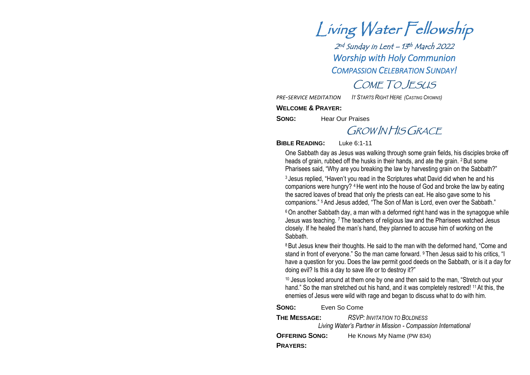Living Water Fellowship

2 nd Sunday in Lent –<sup>13</sup> th March 2022 *Worship with Holy Communion COMPASSION CELEBRATION SUNDAY!*

COME TO JESUS

*PRE-SERVICE MEDITATION IT STARTS RIGHT HERE (CASTING CROWNS)*

**WELCOME & PRAYER:**

**SONG:** Hear Our Praises

## GROW IN HIS GRACE

**BIBLE READING:** Luke 6:1-11

One Sabbath day as Jesus was walking through some grain fields, his disciples broke off heads of grain, rubbed off the husks in their hands, and ate the grain. <sup>2</sup> But some Pharisees said, "Why are you breaking the law by harvesting grain on the Sabbath?"

<sup>3</sup> Jesus replied, "Haven't you read in the Scriptures what David did when he and his companions were hungry? 4He went into the house of God and broke the law by eating the sacred loaves of bread that only the priests can eat. He also gave some to his companions." 5And Jesus added, "The Son of Man is Lord, even over the Sabbath."

<sup>6</sup> On another Sabbath day, a man with a deformed right hand was in the synagogue while Jesus was teaching. <sup>7</sup> The teachers of religious law and the Pharisees watched Jesus closely. If he healed the man's hand, they planned to accuse him of working on the Sabbath.

<sup>8</sup> But Jesus knew their thoughts. He said to the man with the deformed hand, "Come and stand in front of everyone." So the man came forward. <sup>9</sup> Then Jesus said to his critics, "I have a question for you. Does the law permit good deeds on the Sabbath, or is it a day for doing evil? Is this a day to save life or to destroy it?"

<sup>10</sup> Jesus looked around at them one by one and then said to the man, "Stretch out your hand." So the man stretched out his hand, and it was completely restored! <sup>11</sup> At this, the enemies of Jesus were wild with rage and began to discuss what to do with him.

**SONG:** Even So Come

| <b>THE MESSAGE:</b>   | <b>RSVP: INVITATION TO BOLDNESS</b><br>Living Water's Partner in Mission - Compassion International |
|-----------------------|-----------------------------------------------------------------------------------------------------|
| <b>OFFERING SONG:</b> | He Knows My Name (PW 834)                                                                           |
| <b>PRAYERS:</b>       |                                                                                                     |